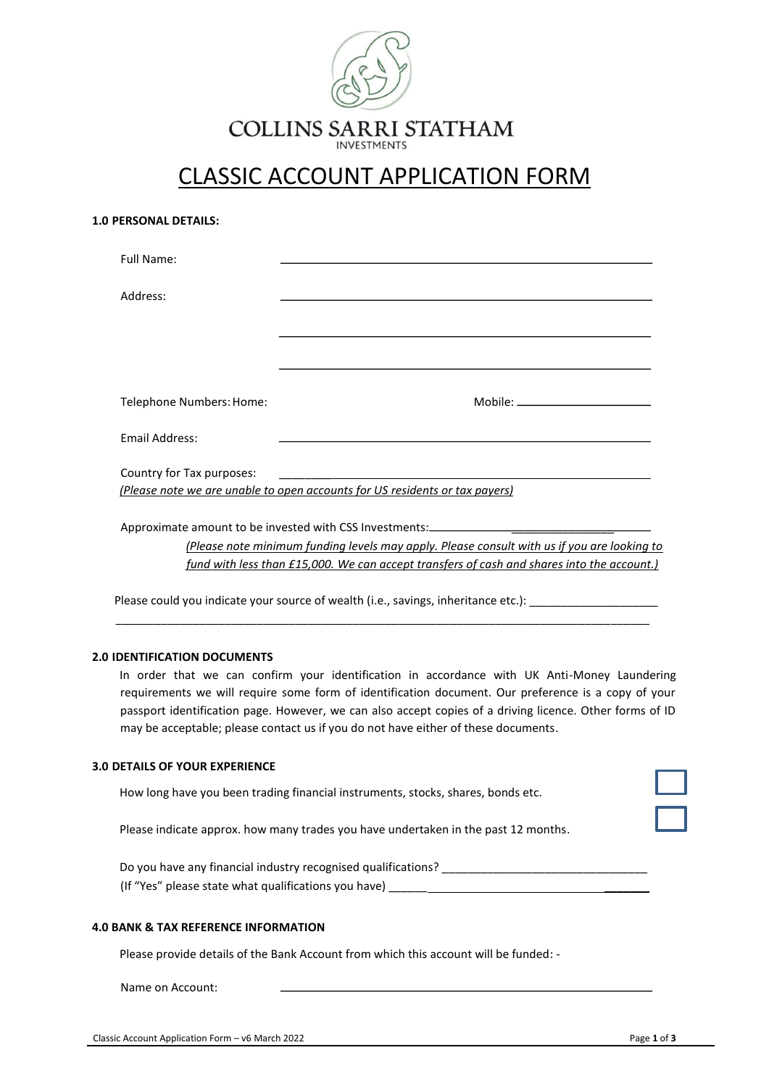

# CLASSIC ACCOUNT APPLICATION FORM

| <b>1.0 PERSONAL DETAILS:</b> |  |
|------------------------------|--|
|------------------------------|--|

| <b>Full Name:</b>         |                                                                                                                                          |
|---------------------------|------------------------------------------------------------------------------------------------------------------------------------------|
| Address:                  |                                                                                                                                          |
|                           |                                                                                                                                          |
|                           |                                                                                                                                          |
| Telephone Numbers: Home:  | ${\sf Mobile:}\_\_$                                                                                                                      |
| Email Address:            |                                                                                                                                          |
| Country for Tax purposes: | <u> 1989 - Johann Barnett, fransk politiker (d. 1989)</u><br>(Please note we are unable to open accounts for US residents or tax payers) |
|                           | Approximate amount to be invested with CSS Investments:_________________________                                                         |
|                           | (Please note minimum funding levels may apply. Please consult with us if you are looking to                                              |

*fund with less than £15,000. We can accept transfers of cash and shares into the account.)*

Please could you indicate your source of wealth (i.e., savings, inheritance etc.): \_\_\_\_\_\_\_\_\_\_\_\_\_\_\_\_

\_\_\_\_\_\_\_\_\_\_\_\_\_\_\_\_\_\_\_\_\_\_\_\_\_\_\_\_\_\_\_\_\_\_\_\_\_\_\_\_\_\_\_\_\_\_\_\_\_\_\_\_\_\_\_\_\_\_\_\_\_\_\_\_\_\_\_\_\_\_\_\_\_\_\_\_\_\_\_\_\_\_\_

## **2.0 IDENTIFICATION DOCUMENTS**

In order that we can confirm your identification in accordance with UK Anti-Money Laundering requirements we will require some form of identification document. Our preference is a copy of your passport identification page. However, we can also accept copies of a driving licence. Other forms of ID may be acceptable; please contact us if you do not have either of these documents.

#### **3.0 DETAILS OF YOUR EXPERIENCE**

How long have you been trading financial instruments, stocks, shares, bonds etc.

Please indicate approx. how many trades you have undertaken in the past 12 months.

Do you have any financial industry recognised qualifications? \_\_\_\_\_\_\_\_\_\_\_\_\_\_\_\_\_\_\_\_\_\_\_\_\_\_\_\_\_\_\_\_ (If "Yes" please state what qualifications you have)  $\qquad \qquad$ 

## **4.0 BANK & TAX REFERENCE INFORMATION**

Please provide details of the Bank Account from which this account will be funded: -

Name on Account: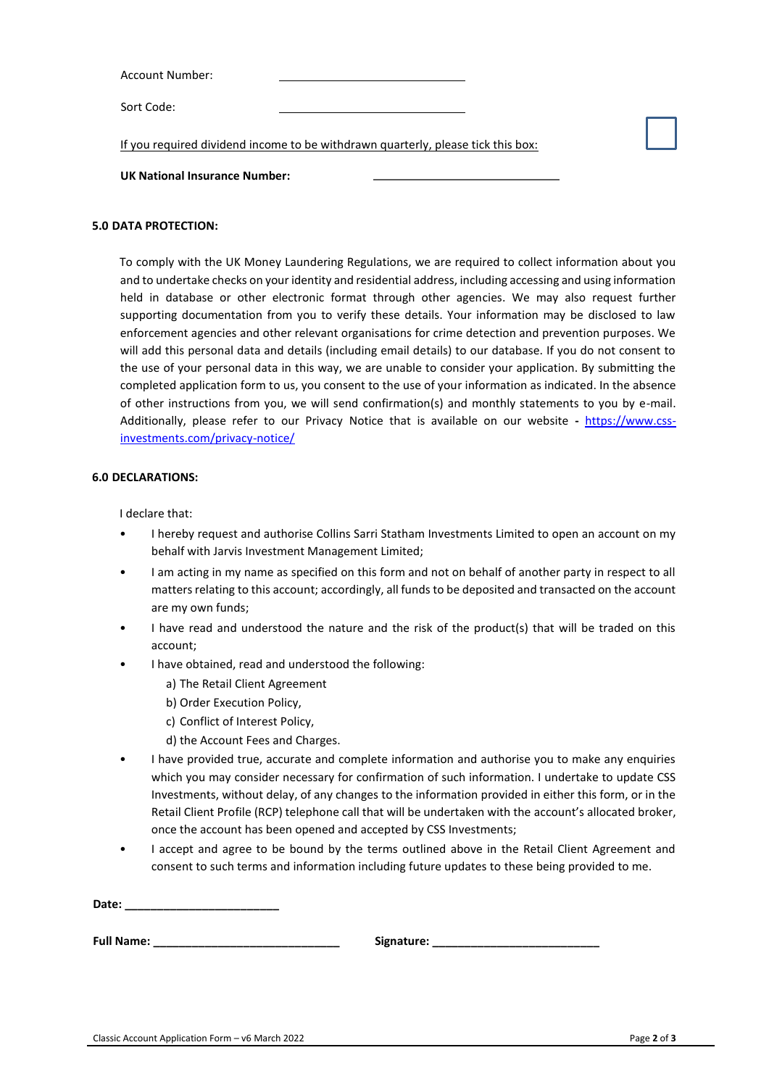| <b>Account Number:</b> |  |
|------------------------|--|
|                        |  |
| Sort Code:             |  |

If you required dividend income to be withdrawn quarterly, please tick this box:

#### **UK National Insurance Number:**

#### **5.0 DATA PROTECTION:**

To comply with the UK Money Laundering Regulations, we are required to collect information about you and to undertake checks on your identity and residential address, including accessing and using information held in database or other electronic format through other agencies. We may also request further supporting documentation from you to verify these details. Your information may be disclosed to law enforcement agencies and other relevant organisations for crime detection and prevention purposes. We will add this personal data and details (including email details) to our database. If you do not consent to the use of your personal data in this way, we are unable to consider your application. By submitting the completed application form to us, you consent to the use of your information as indicated. In the absence of other instructions from you, we will send confirmation(s) and monthly statements to you by e-mail. Additionally, please refer to our Privacy Notice that is available on our website **-** [https://www.css](https://www.css-investments.com/privacy-notice/)[investments.com/privacy-notice/](https://www.css-investments.com/privacy-notice/)

#### **6.0 DECLARATIONS:**

I declare that:

- I hereby request and authorise Collins Sarri Statham Investments Limited to open an account on my behalf with Jarvis Investment Management Limited;
- I am acting in my name as specified on this form and not on behalf of another party in respect to all matters relating to this account; accordingly, all funds to be deposited and transacted on the account are my own funds;
- I have read and understood the nature and the risk of the product(s) that will be traded on this account;
- I have obtained, read and understood the following:
	- a) The Retail Client Agreement
	- b) Order Execution Policy,
	- c) Conflict of Interest Policy,
	- d) the Account Fees and Charges.
- I have provided true, accurate and complete information and authorise you to make any enquiries which you may consider necessary for confirmation of such information. I undertake to update CSS Investments, without delay, of any changes to the information provided in either this form, or in the Retail Client Profile (RCP) telephone call that will be undertaken with the account's allocated broker, once the account has been opened and accepted by CSS Investments;
- I accept and agree to be bound by the terms outlined above in the Retail Client Agreement and consent to such terms and information including future updates to these being provided to me.

**Date: \_\_\_\_\_\_\_\_\_\_\_\_\_\_\_\_\_\_\_\_\_\_\_\_**

Full Name: The contract of the state of the state of the state of the state of the state of the state of the state of the state of the state of the state of the state of the state of the state of the state of the state of